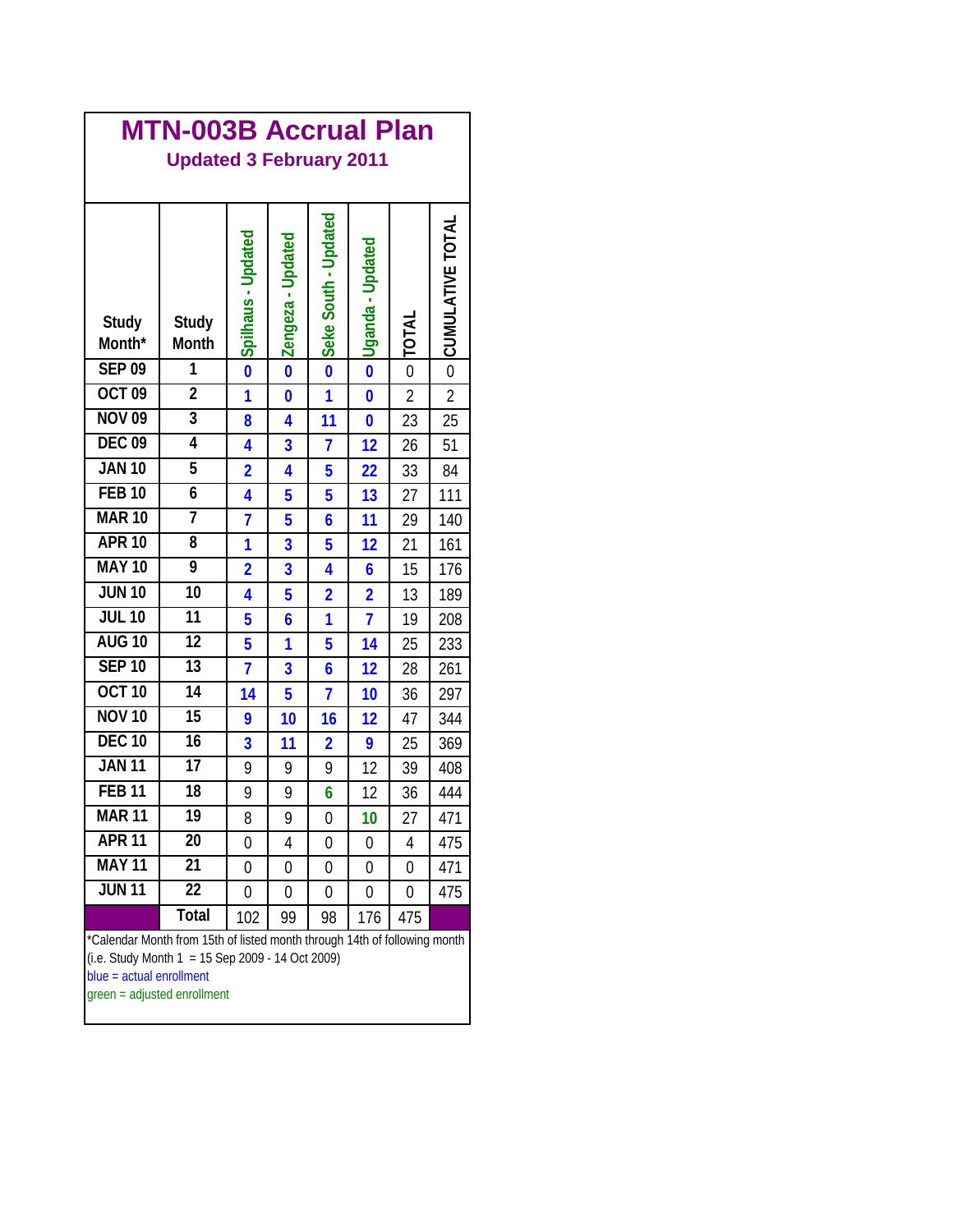| <b>MTN-003B Accrual Plan</b><br><b>Updated 3 February 2011</b>                                                                                                                             |                       |                    |                     |                         |                         |                |                         |  |  |  |  |  |
|--------------------------------------------------------------------------------------------------------------------------------------------------------------------------------------------|-----------------------|--------------------|---------------------|-------------------------|-------------------------|----------------|-------------------------|--|--|--|--|--|
| Study<br>Month*                                                                                                                                                                            | <b>Study</b><br>Month | Spilhaus - Updated | O Zengeza - Updated | Seke South - Updated    | Uganda - Updated        | <b>INTOT</b>   | <b>CUMULATIVE TOTAL</b> |  |  |  |  |  |
| <b>SEP 09</b>                                                                                                                                                                              | 1                     |                    |                     |                         | $\overline{\mathbf{0}}$ | $\overline{0}$ | $\overline{0}$          |  |  |  |  |  |
| <b>OCT 09</b>                                                                                                                                                                              | $\overline{2}$        | 1                  | $\bf{0}$            | 1                       | $\bf{0}$                | $\overline{2}$ | $\overline{2}$          |  |  |  |  |  |
| <b>NOV 09</b>                                                                                                                                                                              | $\overline{3}$        | 8                  | 4                   | 11                      | $\bf{0}$                | 23             | 25                      |  |  |  |  |  |
| <b>DEC 09</b>                                                                                                                                                                              | 4                     | 4                  | 3                   | $\overline{1}$          | 12                      | 26             | 51                      |  |  |  |  |  |
| <b>JAN 10</b>                                                                                                                                                                              | $\overline{5}$        | $\overline{2}$     | 4                   | 5                       | 22                      | 33             | 84                      |  |  |  |  |  |
| <b>FEB 10</b>                                                                                                                                                                              | $\overline{6}$        | 4                  | 5                   | 5                       | 13                      | 27             | 111                     |  |  |  |  |  |
| <b>MAR 10</b>                                                                                                                                                                              | 7                     | 7                  | 5                   | 6                       | 11                      | 29             | 140                     |  |  |  |  |  |
| <b>APR 10</b>                                                                                                                                                                              | $\overline{8}$        | 1                  | 3                   | 5                       | 12                      | 21             | 161                     |  |  |  |  |  |
| <b>MAY 10</b>                                                                                                                                                                              | $\overline{9}$        | $\overline{2}$     | 3                   | 4                       | 6                       | 15             | 176                     |  |  |  |  |  |
| <b>JUN 10</b>                                                                                                                                                                              | $\overline{10}$       | 4                  | 5                   | $\overline{\mathbf{2}}$ | $\overline{\mathbf{2}}$ | 13             | 189                     |  |  |  |  |  |
| <b>JUL 10</b>                                                                                                                                                                              | 11                    | 5                  | 6                   | 1                       | $\overline{1}$          | 19             | 208                     |  |  |  |  |  |
| <b>AUG 10</b>                                                                                                                                                                              | $\overline{12}$       | 5                  | 1                   | 5                       | 14                      | 25             | 233                     |  |  |  |  |  |
| <b>SEP 10</b>                                                                                                                                                                              | $\overline{13}$       | 7                  | 3                   | 6                       | 12                      | 28             | 261                     |  |  |  |  |  |
| <b>OCT 10</b>                                                                                                                                                                              | 14                    | 14                 | 5                   | $\overline{1}$          | 10                      | 36             | 297                     |  |  |  |  |  |
| <b>NOV 10</b>                                                                                                                                                                              | $\overline{15}$       | 9                  | 10                  | 16                      | 12                      | 47             | 344                     |  |  |  |  |  |
| <b>DEC 10</b>                                                                                                                                                                              | $\overline{16}$       | 3                  | 11                  | $\overline{2}$          | 9                       | 25             | 369                     |  |  |  |  |  |
| <b>JAN 11</b>                                                                                                                                                                              | 17                    | 9                  | 9                   | 9                       | 12                      | 39             | 408                     |  |  |  |  |  |
| <b>FEB 11</b>                                                                                                                                                                              | $\overline{18}$       | 9                  | 9                   | 6                       | 12                      | 36             | 444                     |  |  |  |  |  |
| <b>MAR 11</b>                                                                                                                                                                              | 19                    | 8                  | 9                   | 0                       | 10                      | 27             | 471                     |  |  |  |  |  |
| <b>APR 11</b>                                                                                                                                                                              | 20                    | 0                  | 4                   | 0                       | 0                       | 4              | 475                     |  |  |  |  |  |
| <b>MAY 11</b>                                                                                                                                                                              | 21                    | 0                  | 0                   | 0                       | 0                       | 0              | 471                     |  |  |  |  |  |
| <b>JUN 11</b>                                                                                                                                                                              | $\overline{22}$       | 0                  | 0                   | 0                       | 0                       | 0              | 475                     |  |  |  |  |  |
|                                                                                                                                                                                            | <b>Total</b>          | 102                | 99                  | 98                      | 176                     | 475            |                         |  |  |  |  |  |
| *Calendar Month from 15th of listed month through 14th of following month<br>(i.e. Study Month $1 = 15$ Sep 2009 - 14 Oct 2009)<br>blue = actual enrollment<br>green = adjusted enrollment |                       |                    |                     |                         |                         |                |                         |  |  |  |  |  |